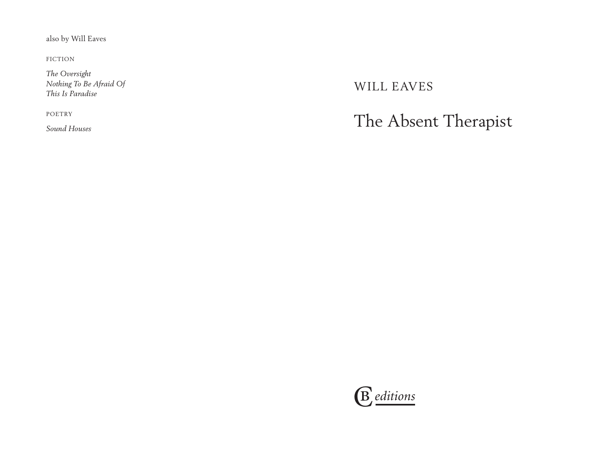also by Will Eaves

FICTION

*The Oversight Nothing To Be Afraid Of This Is Paradise*

POETRY

*Sound Houses*

WILL EAVES

The Absent Therapist

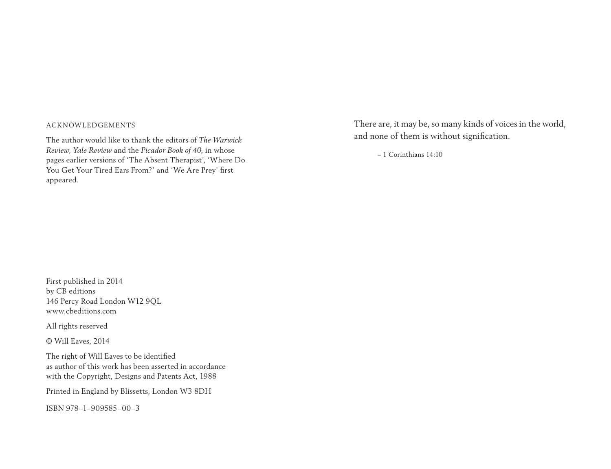## ACKNOWLEDGEMENTS

The author would like to thank the editors of *The Warwick Review*, *Yale Review* and the *Picador Book of 40*, in whose pages earlier versions of 'The Absent Therapist', 'Where Do You Get Your Tired Ears From?' and 'We Are Prey' first appeared.

There are, it may be, so many kinds of voices in the world, and none of them is without signification.

– 1 Corinthians 14:10

First published in 2014 by CB editions 146 Percy Road London W12 9QL www.cbeditions.com

All rights reserved

© Will Eaves, 2014

The right of Will Eaves to be identified as author of this work has been asserted in accordance with the Copyright, Designs and Patents Act, 1988

Printed in England by Blissetts, London W3 8DH

ISBN 978–1–909585–00–3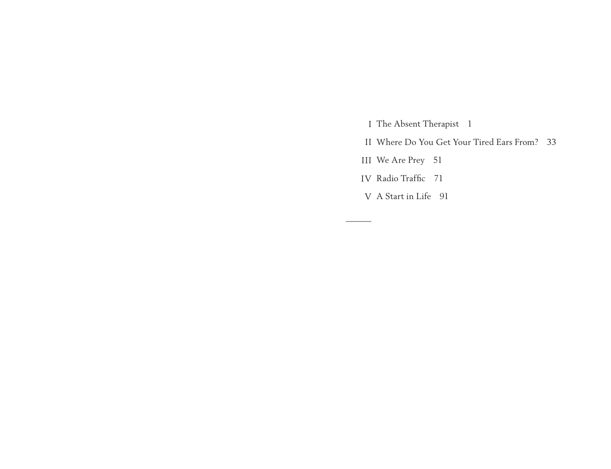I The Absent Therapist 1 Where Do You Get Your Tired Ears From? 33 II We Are Prey 51 III IV Radio Traffic 71 V A Start in Life 91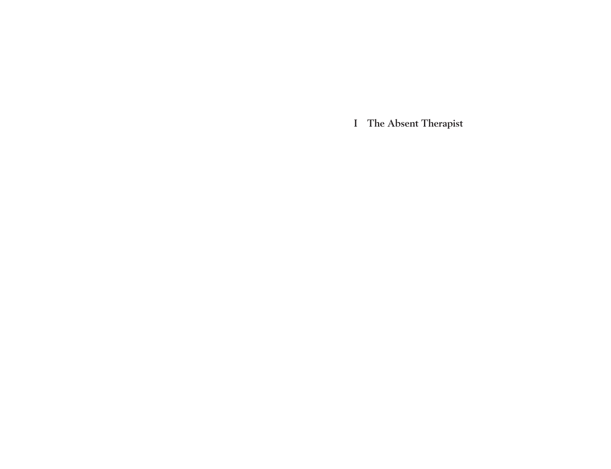**I The Absent Therapist**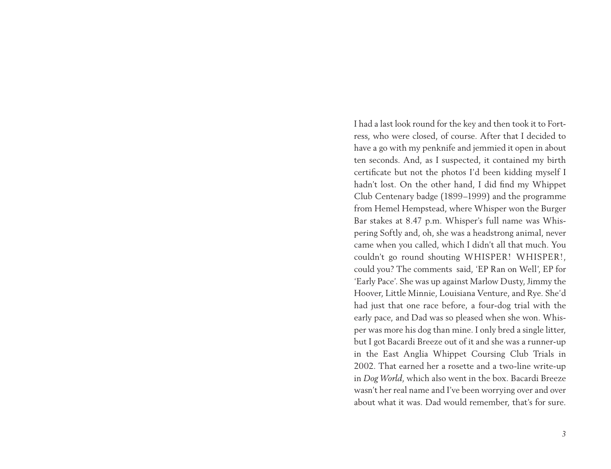I had a last look round for the key and then took it to Fortress, who were closed, of course. After that I decided to have a go with my penknife and jemmied it open in about ten seconds. And, as I suspected, it contained my birth certificate but not the photos I'd been kidding myself I hadn't lost. On the other hand, I did find my Whippet Club Centenary badge (1899–1999) and the programme from Hemel Hempstead, where Whisper won the Burger Bar stakes at 8.47 p.m. Whisper's full name was Whispering Softly and, oh, she was a headstrong animal, never came when you called, which I didn't all that much. You couldn't go round shouting WHISPER! WHISPER!, could you? The comments said, 'EP Ran on Well', EP for 'Early Pace'. She was up against Marlow Dusty, Jimmy the Hoover, Little Minnie, Louisiana Venture, and Rye. She'd had just that one race before, a four-dog trial with the early pace, and Dad was so pleased when she won. Whisper was more his dog than mine. I only bred a single litter, but I got Bacardi Breeze out of it and she was a runner-up in the East Anglia Whippet Coursing Club Trials in 2002. That earned her a rosette and a two-line write-up in *Dog World*, which also went in the box. Bacardi Breeze wasn't her real name and I've been worrying over and over about what it was. Dad would remember, that's for sure.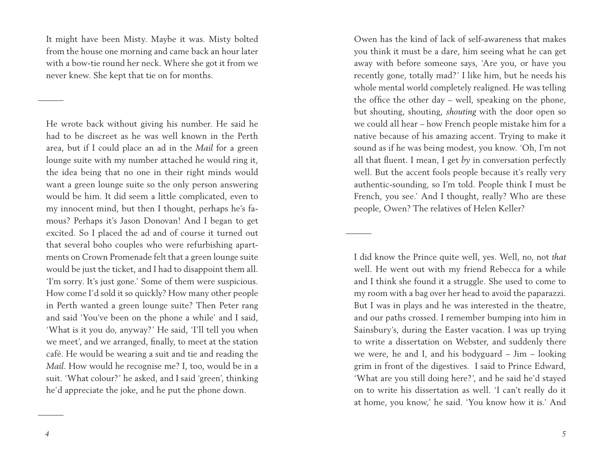It might have been Misty. Maybe it was. Misty bolted from the house one morning and came back an hour later with a bow-tie round her neck. Where she got it from we never knew. She kept that tie on for months.

He wrote back without giving his number. He said he had to be discreet as he was well known in the Perth area, but if I could place an ad in the *Mail* for a green lounge suite with my number attached he would ring it, the idea being that no one in their right minds would want a green lounge suite so the only person answering would be him. It did seem a little complicated, even to my innocent mind, but then I thought, perhaps he's famous? Perhaps it's Jason Donovan! And I began to get excited. So I placed the ad and of course it turned out that several boho couples who were refurbishing apartments on Crown Promenade felt that a green lounge suite would be just the ticket, and I had to disappoint them all. 'I'm sorry. It's just gone.' Some of them were suspicious. How come I'd sold it so quickly? How many other people in Perth wanted a green lounge suite? Then Peter rang and said 'You've been on the phone a while' and I said, 'What is it you do, anyway?' He said, 'I'll tell you when we meet', and we arranged, finally, to meet at the station café. He would be wearing a suit and tie and reading the *Mail*. How would he recognise me? I, too, would be in a suit. 'What colour?' he asked, and I said 'green', thinking he'd appreciate the joke, and he put the phone down.

Owen has the kind of lack of self-awareness that makes you think it must be a dare, him seeing what he can get away with before someone says, 'Are you, or have you recently gone, totally mad?' I like him, but he needs his whole mental world completely realigned. He was telling the office the other day – well, speaking on the phone, but shouting, shouting, *shouting* with the door open so we could all hear – how French people mistake him for a native because of his amazing accent. Trying to make it sound as if he was being modest, you know. 'Oh, I'm not all that fluent. I mean, I get *by* in conversation perfectly well. But the accent fools people because it's really very authentic-sounding, so I'm told. People think I must be French, you see.' And I thought, really? Who are these people, Owen? The relatives of Helen Keller?

I did know the Prince quite well, yes. Well, no, not *that* well. He went out with my friend Rebecca for a while and I think she found it a struggle. She used to come to my room with a bag over her head to avoid the paparazzi. But I was in plays and he was interested in the theatre, and our paths crossed. I remember bumping into him in Sainsbury's, during the Easter vacation. I was up trying to write a dissertation on Webster, and suddenly there we were, he and I, and his bodyguard – Jim – looking grim in front of the digestives. I said to Prince Edward, 'What are you still doing here?', and he said he'd stayed on to write his dissertation as well. 'I can't really do it at home, you know,' he said. 'You know how it is.' And

———

———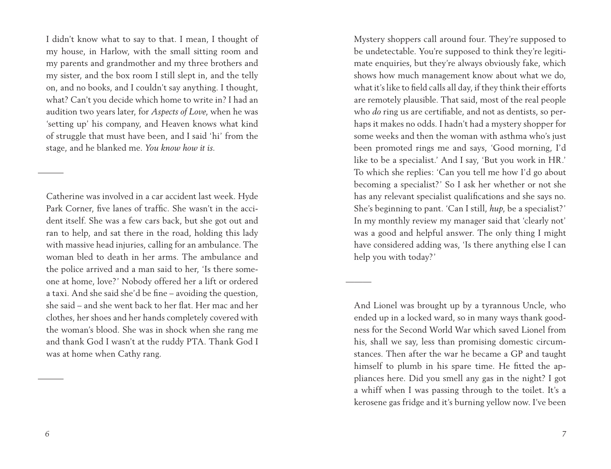I didn't know what to say to that. I mean, I thought of my house, in Harlow, with the small sitting room and my parents and grandmother and my three brothers and my sister, and the box room I still slept in, and the telly on, and no books, and I couldn't say anything. I thought, what? Can't you decide which home to write in? I had an audition two years later, for *Aspects of Love*, when he was 'setting up' his company, and Heaven knows what kind of struggle that must have been, and I said 'hi' from the stage, and he blanked me. *You know how it is*.

Catherine was involved in a car accident last week. Hyde Park Corner, five lanes of traffic. She wasn't in the accident itself. She was a few cars back, but she got out and ran to help, and sat there in the road, holding this lady with massive head injuries, calling for an ambulance. The woman bled to death in her arms. The ambulance and the police arrived and a man said to her, 'Is there someone at home, love?' Nobody offered her a lift or ordered a taxi. And she said she'd be fine – avoiding the question, she said – and she went back to her flat. Her mac and her clothes, her shoes and her hands completely covered with the woman's blood. She was in shock when she rang me and thank God I wasn't at the ruddy PTA. Thank God I was at home when Cathy rang.

Mystery shoppers call around four. They're supposed to be undetectable. You're supposed to think they're legitimate enquiries, but they're always obviously fake, which shows how much management know about what we do, what it's like to field calls all day, if they think their efforts are remotely plausible. That said, most of the real people who *do* ring us are certifiable, and not as dentists, so perhaps it makes no odds. I hadn't had a mystery shopper for some weeks and then the woman with asthma who's just been promoted rings me and says, 'Good morning, I'd like to be a specialist.' And I say, 'But you work in HR.' To which she replies: 'Can you tell me how I'd go about becoming a specialist?' So I ask her whether or not she has any relevant specialist qualifications and she says no. She's beginning to pant. 'Can I still, *hup*, be a specialist?' In my monthly review my manager said that 'clearly not' was a good and helpful answer. The only thing I might have considered adding was, 'Is there anything else I can help you with today?'

———

———

And Lionel was brought up by a tyrannous Uncle, who ended up in a locked ward, so in many ways thank goodness for the Second World War which saved Lionel from his, shall we say, less than promising domestic circumstances. Then after the war he became a GP and taught himself to plumb in his spare time. He fitted the appliances here. Did you smell any gas in the night? I got a whiff when I was passing through to the toilet. It's a kerosene gas fridge and it's burning yellow now. I've been